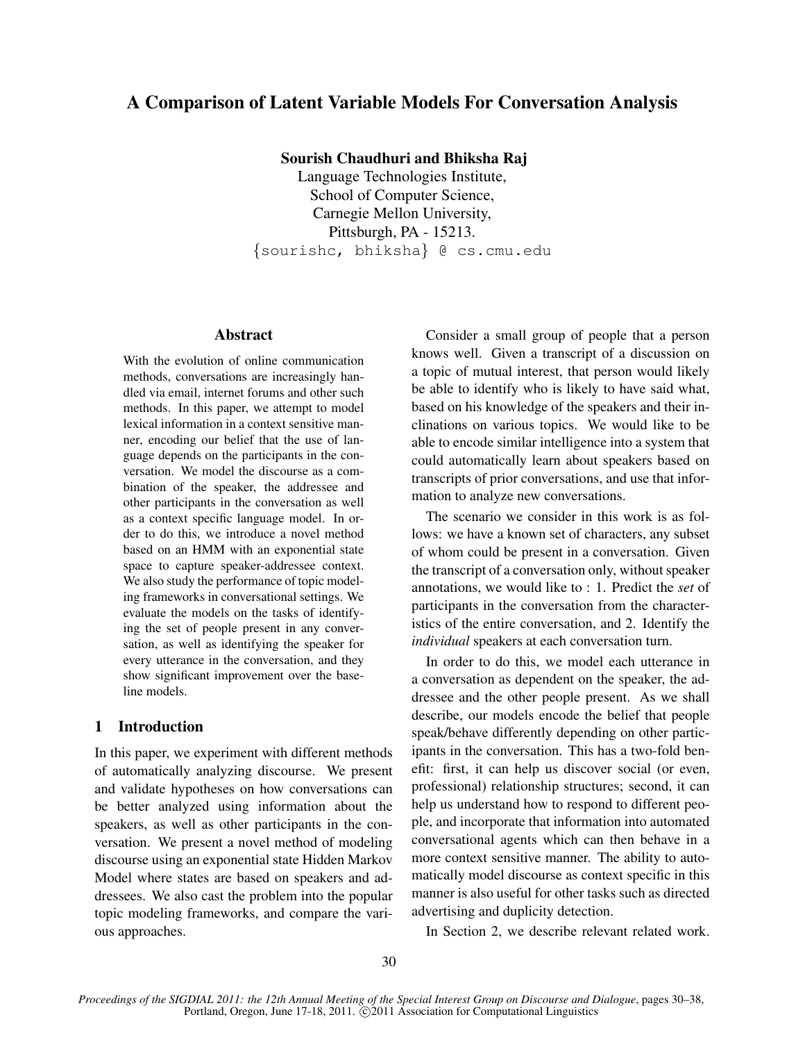# A Comparison of Latent Variable Models For Conversation Analysis

Sourish Chaudhuri and Bhiksha Raj

Language Technologies Institute, School of Computer Science, Carnegie Mellon University, Pittsburgh, PA - 15213. {sourishc, bhiksha} @ cs.cmu.edu

## Abstract

With the evolution of online communication methods, conversations are increasingly handled via email, internet forums and other such methods. In this paper, we attempt to model lexical information in a context sensitive manner, encoding our belief that the use of language depends on the participants in the conversation. We model the discourse as a combination of the speaker, the addressee and other participants in the conversation as well as a context specific language model. In order to do this, we introduce a novel method based on an HMM with an exponential state space to capture speaker-addressee context. We also study the performance of topic modeling frameworks in conversational settings. We evaluate the models on the tasks of identifying the set of people present in any conversation, as well as identifying the speaker for every utterance in the conversation, and they show significant improvement over the baseline models.

## 1 Introduction

In this paper, we experiment with different methods of automatically analyzing discourse. We present and validate hypotheses on how conversations can be better analyzed using information about the speakers, as well as other participants in the conversation. We present a novel method of modeling discourse using an exponential state Hidden Markov Model where states are based on speakers and addressees. We also cast the problem into the popular topic modeling frameworks, and compare the various approaches.

Consider a small group of people that a person knows well. Given a transcript of a discussion on a topic of mutual interest, that person would likely be able to identify who is likely to have said what, based on his knowledge of the speakers and their inclinations on various topics. We would like to be able to encode similar intelligence into a system that could automatically learn about speakers based on transcripts of prior conversations, and use that information to analyze new conversations.

The scenario we consider in this work is as follows: we have a known set of characters, any subset of whom could be present in a conversation. Given the transcript of a conversation only, without speaker annotations, we would like to : 1. Predict the *set* of participants in the conversation from the characteristics of the entire conversation, and 2. Identify the *individual* speakers at each conversation turn.

In order to do this, we model each utterance in a conversation as dependent on the speaker, the addressee and the other people present. As we shall describe, our models encode the belief that people speak/behave differently depending on other participants in the conversation. This has a two-fold benefit: first, it can help us discover social (or even, professional) relationship structures; second, it can help us understand how to respond to different people, and incorporate that information into automated conversational agents which can then behave in a more context sensitive manner. The ability to automatically model discourse as context specific in this manner is also useful for other tasks such as directed advertising and duplicity detection.

In Section 2, we describe relevant related work.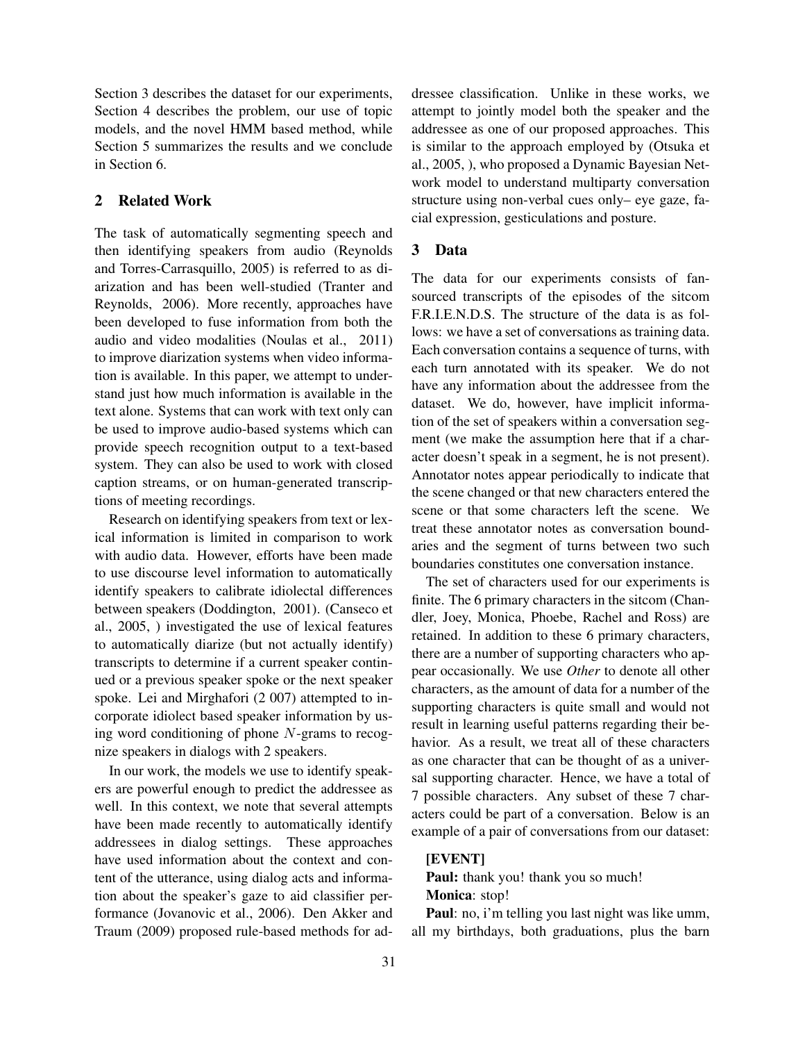Section 3 describes the dataset for our experiments, Section 4 describes the problem, our use of topic models, and the novel HMM based method, while Section 5 summarizes the results and we conclude in Section 6.

#### 2 Related Work

The task of automatically segmenting speech and then identifying speakers from audio (Reynolds and Torres-Carrasquillo, 2005) is referred to as diarization and has been well-studied (Tranter and Reynolds, 2006). More recently, approaches have been developed to fuse information from both the audio and video modalities (Noulas et al., 2011) to improve diarization systems when video information is available. In this paper, we attempt to understand just how much information is available in the text alone. Systems that can work with text only can be used to improve audio-based systems which can provide speech recognition output to a text-based system. They can also be used to work with closed caption streams, or on human-generated transcriptions of meeting recordings.

Research on identifying speakers from text or lexical information is limited in comparison to work with audio data. However, efforts have been made to use discourse level information to automatically identify speakers to calibrate idiolectal differences between speakers (Doddington, 2001). (Canseco et al., 2005, ) investigated the use of lexical features to automatically diarize (but not actually identify) transcripts to determine if a current speaker continued or a previous speaker spoke or the next speaker spoke. Lei and Mirghafori (2 007) attempted to incorporate idiolect based speaker information by using word conditioning of phone  $N$ -grams to recognize speakers in dialogs with 2 speakers.

In our work, the models we use to identify speakers are powerful enough to predict the addressee as well. In this context, we note that several attempts have been made recently to automatically identify addressees in dialog settings. These approaches have used information about the context and content of the utterance, using dialog acts and information about the speaker's gaze to aid classifier performance (Jovanovic et al., 2006). Den Akker and Traum (2009) proposed rule-based methods for addressee classification. Unlike in these works, we attempt to jointly model both the speaker and the addressee as one of our proposed approaches. This is similar to the approach employed by (Otsuka et al., 2005, ), who proposed a Dynamic Bayesian Network model to understand multiparty conversation structure using non-verbal cues only– eye gaze, facial expression, gesticulations and posture.

## 3 Data

The data for our experiments consists of fansourced transcripts of the episodes of the sitcom F.R.I.E.N.D.S. The structure of the data is as follows: we have a set of conversations as training data. Each conversation contains a sequence of turns, with each turn annotated with its speaker. We do not have any information about the addressee from the dataset. We do, however, have implicit information of the set of speakers within a conversation segment (we make the assumption here that if a character doesn't speak in a segment, he is not present). Annotator notes appear periodically to indicate that the scene changed or that new characters entered the scene or that some characters left the scene. We treat these annotator notes as conversation boundaries and the segment of turns between two such boundaries constitutes one conversation instance.

The set of characters used for our experiments is finite. The 6 primary characters in the sitcom (Chandler, Joey, Monica, Phoebe, Rachel and Ross) are retained. In addition to these 6 primary characters, there are a number of supporting characters who appear occasionally. We use *Other* to denote all other characters, as the amount of data for a number of the supporting characters is quite small and would not result in learning useful patterns regarding their behavior. As a result, we treat all of these characters as one character that can be thought of as a universal supporting character. Hence, we have a total of 7 possible characters. Any subset of these 7 characters could be part of a conversation. Below is an example of a pair of conversations from our dataset:

## [EVENT]

Paul: thank you! thank you so much! Monica: stop!

Paul: no, i'm telling you last night was like umm, all my birthdays, both graduations, plus the barn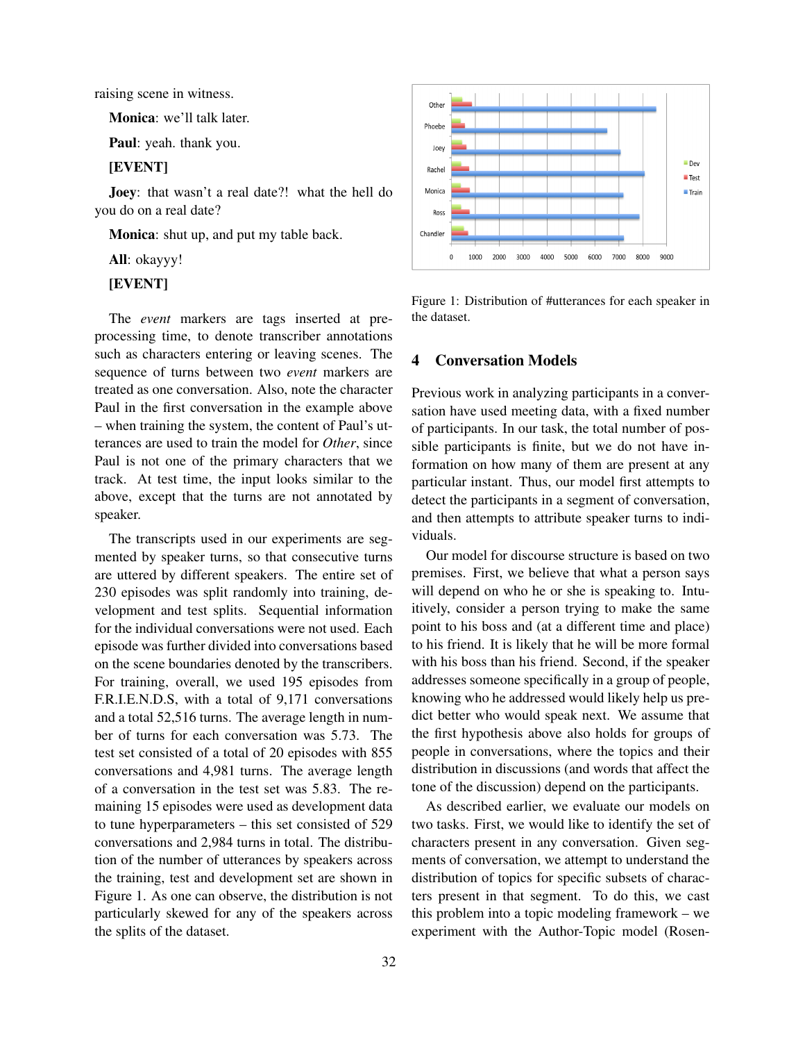raising scene in witness.

Monica: we'll talk later.

Paul: yeah. thank you.

### [EVENT]

Joey: that wasn't a real date?! what the hell do you do on a real date?

Monica: shut up, and put my table back.

All: okayyy!

#### [EVENT]

The *event* markers are tags inserted at preprocessing time, to denote transcriber annotations such as characters entering or leaving scenes. The sequence of turns between two *event* markers are treated as one conversation. Also, note the character Paul in the first conversation in the example above – when training the system, the content of Paul's utterances are used to train the model for *Other*, since Paul is not one of the primary characters that we track. At test time, the input looks similar to the above, except that the turns are not annotated by speaker.

The transcripts used in our experiments are segmented by speaker turns, so that consecutive turns are uttered by different speakers. The entire set of 230 episodes was split randomly into training, development and test splits. Sequential information for the individual conversations were not used. Each episode was further divided into conversations based on the scene boundaries denoted by the transcribers. For training, overall, we used 195 episodes from F.R.I.E.N.D.S, with a total of 9,171 conversations and a total 52,516 turns. The average length in number of turns for each conversation was 5.73. The test set consisted of a total of 20 episodes with 855 conversations and 4,981 turns. The average length of a conversation in the test set was 5.83. The remaining 15 episodes were used as development data to tune hyperparameters – this set consisted of 529 conversations and 2,984 turns in total. The distribution of the number of utterances by speakers across the training, test and development set are shown in Figure 1. As one can observe, the distribution is not particularly skewed for any of the speakers across the splits of the dataset.



Figure 1: Distribution of #utterances for each speaker in the dataset.

#### 4 Conversation Models

Previous work in analyzing participants in a conversation have used meeting data, with a fixed number of participants. In our task, the total number of possible participants is finite, but we do not have information on how many of them are present at any particular instant. Thus, our model first attempts to detect the participants in a segment of conversation, and then attempts to attribute speaker turns to individuals.

Our model for discourse structure is based on two premises. First, we believe that what a person says will depend on who he or she is speaking to. Intuitively, consider a person trying to make the same point to his boss and (at a different time and place) to his friend. It is likely that he will be more formal with his boss than his friend. Second, if the speaker addresses someone specifically in a group of people, knowing who he addressed would likely help us predict better who would speak next. We assume that the first hypothesis above also holds for groups of people in conversations, where the topics and their distribution in discussions (and words that affect the tone of the discussion) depend on the participants.

As described earlier, we evaluate our models on two tasks. First, we would like to identify the set of characters present in any conversation. Given segments of conversation, we attempt to understand the distribution of topics for specific subsets of characters present in that segment. To do this, we cast this problem into a topic modeling framework – we experiment with the Author-Topic model (Rosen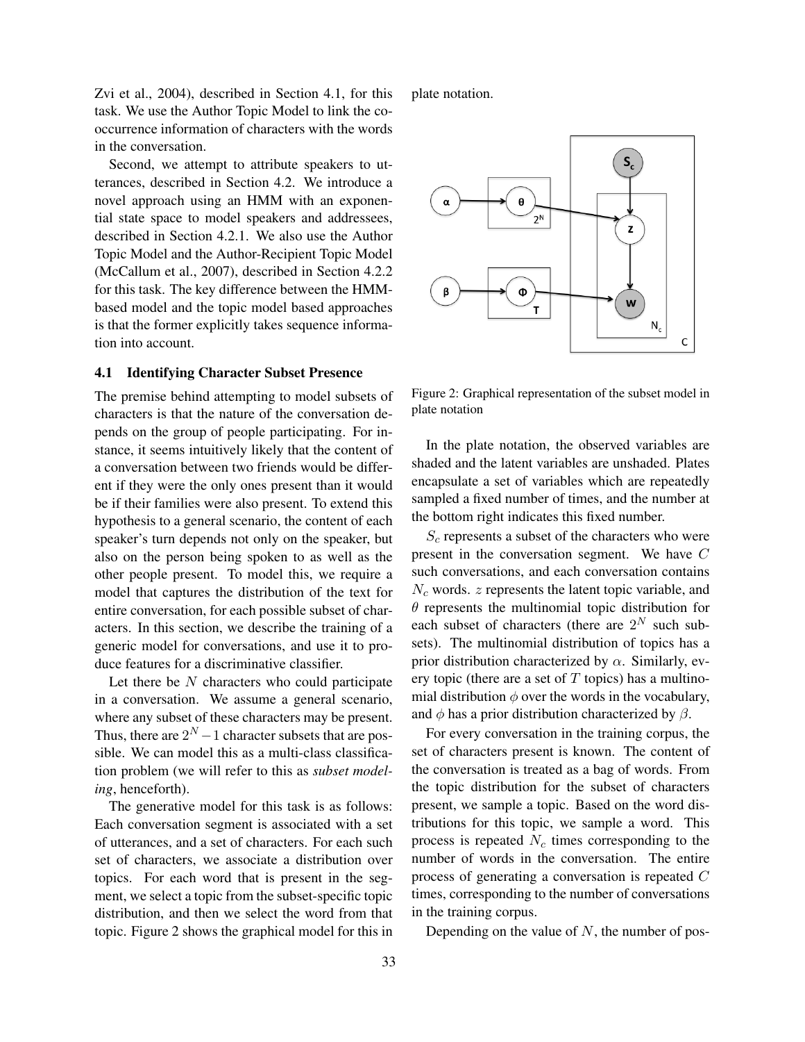Zvi et al., 2004), described in Section 4.1, for this task. We use the Author Topic Model to link the cooccurrence information of characters with the words in the conversation.

Second, we attempt to attribute speakers to utterances, described in Section 4.2. We introduce a novel approach using an HMM with an exponential state space to model speakers and addressees, described in Section 4.2.1. We also use the Author Topic Model and the Author-Recipient Topic Model (McCallum et al., 2007), described in Section 4.2.2 for this task. The key difference between the HMMbased model and the topic model based approaches is that the former explicitly takes sequence information into account.

# 4.1 Identifying Character Subset Presence

The premise behind attempting to model subsets of characters is that the nature of the conversation depends on the group of people participating. For instance, it seems intuitively likely that the content of a conversation between two friends would be different if they were the only ones present than it would be if their families were also present. To extend this hypothesis to a general scenario, the content of each speaker's turn depends not only on the speaker, but also on the person being spoken to as well as the other people present. To model this, we require a model that captures the distribution of the text for entire conversation, for each possible subset of characters. In this section, we describe the training of a generic model for conversations, and use it to produce features for a discriminative classifier.

Let there be  $N$  characters who could participate in a conversation. We assume a general scenario, where any subset of these characters may be present. Thus, there are  $2^N - 1$  character subsets that are possible. We can model this as a multi-class classification problem (we will refer to this as *subset modeling*, henceforth).

The generative model for this task is as follows: Each conversation segment is associated with a set of utterances, and a set of characters. For each such set of characters, we associate a distribution over topics. For each word that is present in the segment, we select a topic from the subset-specific topic distribution, and then we select the word from that topic. Figure 2 shows the graphical model for this in plate notation.



Figure 2: Graphical representation of the subset model in plate notation

In the plate notation, the observed variables are shaded and the latent variables are unshaded. Plates encapsulate a set of variables which are repeatedly sampled a fixed number of times, and the number at the bottom right indicates this fixed number.

 $S_c$  represents a subset of the characters who were present in the conversation segment. We have C such conversations, and each conversation contains  $N_c$  words.  $z$  represents the latent topic variable, and  $\theta$  represents the multinomial topic distribution for each subset of characters (there are  $2^N$  such subsets). The multinomial distribution of topics has a prior distribution characterized by  $\alpha$ . Similarly, every topic (there are a set of  $T$  topics) has a multinomial distribution  $\phi$  over the words in the vocabulary, and  $\phi$  has a prior distribution characterized by  $\beta$ .

For every conversation in the training corpus, the set of characters present is known. The content of the conversation is treated as a bag of words. From the topic distribution for the subset of characters present, we sample a topic. Based on the word distributions for this topic, we sample a word. This process is repeated  $N_c$  times corresponding to the number of words in the conversation. The entire process of generating a conversation is repeated C times, corresponding to the number of conversations in the training corpus.

Depending on the value of  $N$ , the number of pos-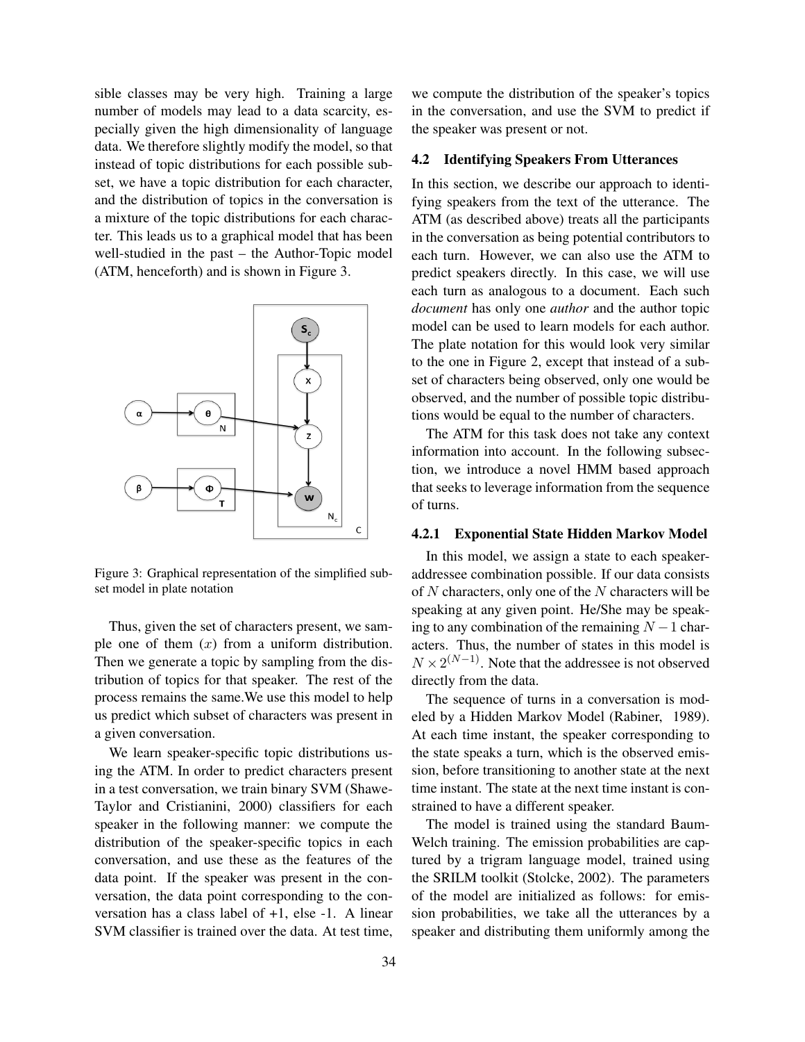sible classes may be very high. Training a large number of models may lead to a data scarcity, especially given the high dimensionality of language data. We therefore slightly modify the model, so that instead of topic distributions for each possible subset, we have a topic distribution for each character, and the distribution of topics in the conversation is a mixture of the topic distributions for each character. This leads us to a graphical model that has been well-studied in the past – the Author-Topic model (ATM, henceforth) and is shown in Figure 3.



Figure 3: Graphical representation of the simplified subset model in plate notation

Thus, given the set of characters present, we sample one of them  $(x)$  from a uniform distribution. Then we generate a topic by sampling from the distribution of topics for that speaker. The rest of the process remains the same.We use this model to help us predict which subset of characters was present in a given conversation.

We learn speaker-specific topic distributions using the ATM. In order to predict characters present in a test conversation, we train binary SVM (Shawe-Taylor and Cristianini, 2000) classifiers for each speaker in the following manner: we compute the distribution of the speaker-specific topics in each conversation, and use these as the features of the data point. If the speaker was present in the conversation, the data point corresponding to the conversation has a class label of +1, else -1. A linear SVM classifier is trained over the data. At test time,

we compute the distribution of the speaker's topics in the conversation, and use the SVM to predict if the speaker was present or not.

## 4.2 Identifying Speakers From Utterances

In this section, we describe our approach to identifying speakers from the text of the utterance. The ATM (as described above) treats all the participants in the conversation as being potential contributors to each turn. However, we can also use the ATM to predict speakers directly. In this case, we will use each turn as analogous to a document. Each such *document* has only one *author* and the author topic model can be used to learn models for each author. The plate notation for this would look very similar to the one in Figure 2, except that instead of a subset of characters being observed, only one would be observed, and the number of possible topic distributions would be equal to the number of characters.

The ATM for this task does not take any context information into account. In the following subsection, we introduce a novel HMM based approach that seeks to leverage information from the sequence of turns.

#### 4.2.1 Exponential State Hidden Markov Model

In this model, we assign a state to each speakeraddressee combination possible. If our data consists of  $N$  characters, only one of the  $N$  characters will be speaking at any given point. He/She may be speaking to any combination of the remaining  $N - 1$  characters. Thus, the number of states in this model is  $N \times 2^{(N-1)}$ . Note that the addressee is not observed directly from the data.

The sequence of turns in a conversation is modeled by a Hidden Markov Model (Rabiner, 1989). At each time instant, the speaker corresponding to the state speaks a turn, which is the observed emission, before transitioning to another state at the next time instant. The state at the next time instant is constrained to have a different speaker.

The model is trained using the standard Baum-Welch training. The emission probabilities are captured by a trigram language model, trained using the SRILM toolkit (Stolcke, 2002). The parameters of the model are initialized as follows: for emission probabilities, we take all the utterances by a speaker and distributing them uniformly among the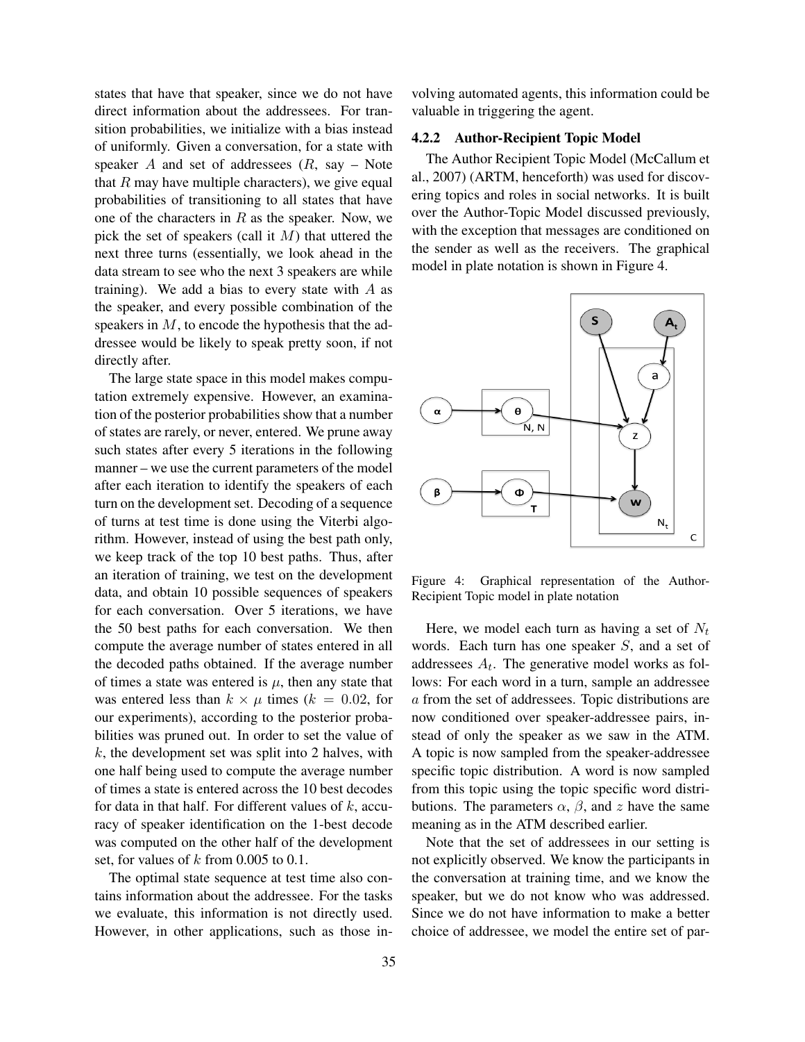states that have that speaker, since we do not have direct information about the addressees. For transition probabilities, we initialize with a bias instead of uniformly. Given a conversation, for a state with speaker  $A$  and set of addressees  $(R, say - Note)$ that  $R$  may have multiple characters), we give equal probabilities of transitioning to all states that have one of the characters in  $R$  as the speaker. Now, we pick the set of speakers (call it  $M$ ) that uttered the next three turns (essentially, we look ahead in the data stream to see who the next 3 speakers are while training). We add a bias to every state with  $A$  as the speaker, and every possible combination of the speakers in  $M$ , to encode the hypothesis that the addressee would be likely to speak pretty soon, if not directly after.

The large state space in this model makes computation extremely expensive. However, an examination of the posterior probabilities show that a number of states are rarely, or never, entered. We prune away such states after every 5 iterations in the following manner – we use the current parameters of the model after each iteration to identify the speakers of each turn on the development set. Decoding of a sequence of turns at test time is done using the Viterbi algorithm. However, instead of using the best path only, we keep track of the top 10 best paths. Thus, after an iteration of training, we test on the development data, and obtain 10 possible sequences of speakers for each conversation. Over 5 iterations, we have the 50 best paths for each conversation. We then compute the average number of states entered in all the decoded paths obtained. If the average number of times a state was entered is  $\mu$ , then any state that was entered less than  $k \times \mu$  times ( $k = 0.02$ , for our experiments), according to the posterior probabilities was pruned out. In order to set the value of  $k$ , the development set was split into 2 halves, with one half being used to compute the average number of times a state is entered across the 10 best decodes for data in that half. For different values of  $k$ , accuracy of speaker identification on the 1-best decode was computed on the other half of the development set, for values of  $k$  from 0.005 to 0.1.

The optimal state sequence at test time also contains information about the addressee. For the tasks we evaluate, this information is not directly used. However, in other applications, such as those involving automated agents, this information could be valuable in triggering the agent.

## 4.2.2 Author-Recipient Topic Model

The Author Recipient Topic Model (McCallum et al., 2007) (ARTM, henceforth) was used for discovering topics and roles in social networks. It is built over the Author-Topic Model discussed previously, with the exception that messages are conditioned on the sender as well as the receivers. The graphical model in plate notation is shown in Figure 4.



Figure 4: Graphical representation of the Author-Recipient Topic model in plate notation

Here, we model each turn as having a set of  $N_t$ words. Each turn has one speaker S, and a set of addressees  $A_t$ . The generative model works as follows: For each word in a turn, sample an addressee a from the set of addressees. Topic distributions are now conditioned over speaker-addressee pairs, instead of only the speaker as we saw in the ATM. A topic is now sampled from the speaker-addressee specific topic distribution. A word is now sampled from this topic using the topic specific word distributions. The parameters  $\alpha$ ,  $\beta$ , and z have the same meaning as in the ATM described earlier.

Note that the set of addressees in our setting is not explicitly observed. We know the participants in the conversation at training time, and we know the speaker, but we do not know who was addressed. Since we do not have information to make a better choice of addressee, we model the entire set of par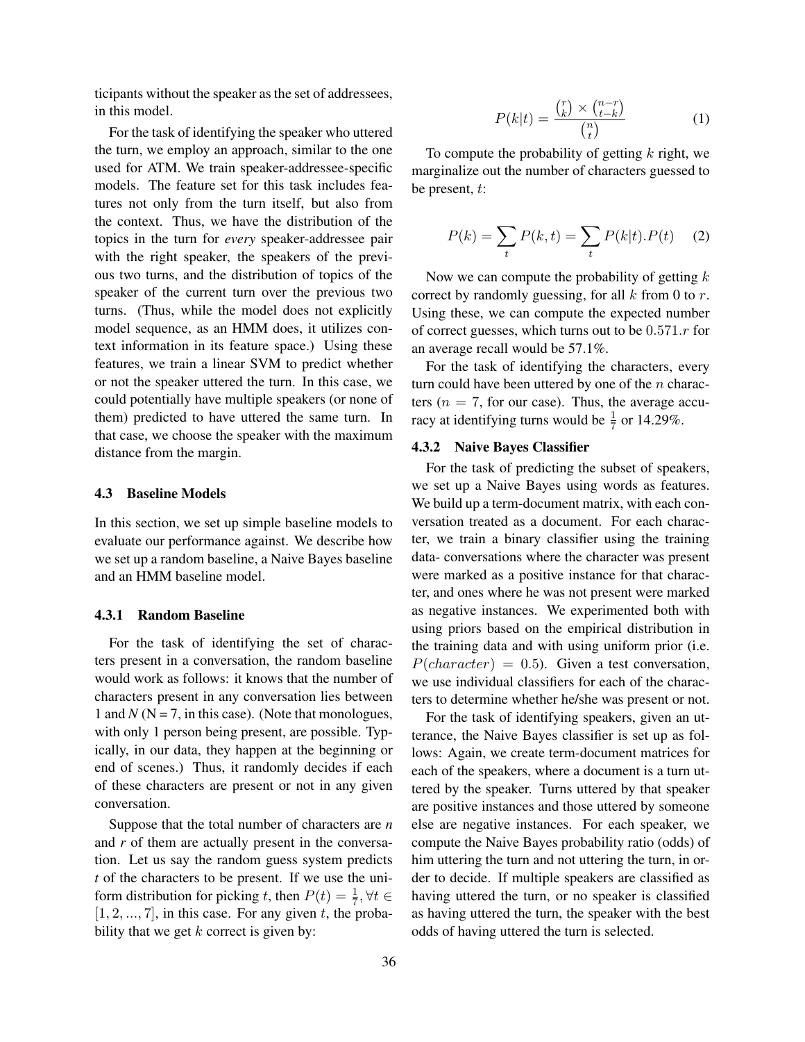ticipants without the speaker as the set of addressees, in this model.

For the task of identifying the speaker who uttered the turn, we employ an approach, similar to the one used for ATM. We train speaker-addressee-specific models. The feature set for this task includes features not only from the turn itself, but also from the context. Thus, we have the distribution of the topics in the turn for *every* speaker-addressee pair with the right speaker, the speakers of the previous two turns, and the distribution of topics of the speaker of the current turn over the previous two turns. (Thus, while the model does not explicitly model sequence, as an HMM does, it utilizes context information in its feature space.) Using these features, we train a linear SVM to predict whether or not the speaker uttered the turn. In this case, we could potentially have multiple speakers (or none of them) predicted to have uttered the same turn. In that case, we choose the speaker with the maximum distance from the margin.

#### 4.3 Baseline Models

In this section, we set up simple baseline models to evaluate our performance against. We describe how we set up a random baseline, a Naive Bayes baseline and an HMM baseline model.

#### 4.3.1 Random Baseline

For the task of identifying the set of characters present in a conversation, the random baseline would work as follows: it knows that the number of characters present in any conversation lies between 1 and  $N$  ( $N = 7$ , in this case). (Note that monologues, with only 1 person being present, are possible. Typically, in our data, they happen at the beginning or end of scenes.) Thus, it randomly decides if each of these characters are present or not in any given conversation.

Suppose that the total number of characters are *n* and *r* of them are actually present in the conversation. Let us say the random guess system predicts *t* of the characters to be present. If we use the uniform distribution for picking t, then  $P(t) = \frac{1}{7}$ ,  $\forall t \in$  $[1, 2, \ldots, 7]$ , in this case. For any given t, the probability that we get  $k$  correct is given by:

$$
P(k|t) = \frac{\binom{r}{k} \times \binom{n-r}{t-k}}{\binom{n}{t}}
$$
(1)

To compute the probability of getting  $k$  right, we marginalize out the number of characters guessed to be present, t:

$$
P(k) = \sum_{t} P(k, t) = \sum_{t} P(k|t).P(t) \quad (2)
$$

Now we can compute the probability of getting  $k$ correct by randomly guessing, for all  $k$  from 0 to  $r$ . Using these, we can compute the expected number of correct guesses, which turns out to be  $0.571.r$  for an average recall would be 57.1%.

For the task of identifying the characters, every turn could have been uttered by one of the  $n$  characters ( $n = 7$ , for our case). Thus, the average accuracy at identifying turns would be  $\frac{1}{7}$  or 14.29%.

#### 4.3.2 Naive Bayes Classifier

For the task of predicting the subset of speakers, we set up a Naive Bayes using words as features. We build up a term-document matrix, with each conversation treated as a document. For each character, we train a binary classifier using the training data- conversations where the character was present were marked as a positive instance for that character, and ones where he was not present were marked as negative instances. We experimented both with using priors based on the empirical distribution in the training data and with using uniform prior (i.e.  $P(character) = 0.5)$ . Given a test conversation, we use individual classifiers for each of the characters to determine whether he/she was present or not.

For the task of identifying speakers, given an utterance, the Naive Bayes classifier is set up as follows: Again, we create term-document matrices for each of the speakers, where a document is a turn uttered by the speaker. Turns uttered by that speaker are positive instances and those uttered by someone else are negative instances. For each speaker, we compute the Naive Bayes probability ratio (odds) of him uttering the turn and not uttering the turn, in order to decide. If multiple speakers are classified as having uttered the turn, or no speaker is classified as having uttered the turn, the speaker with the best odds of having uttered the turn is selected.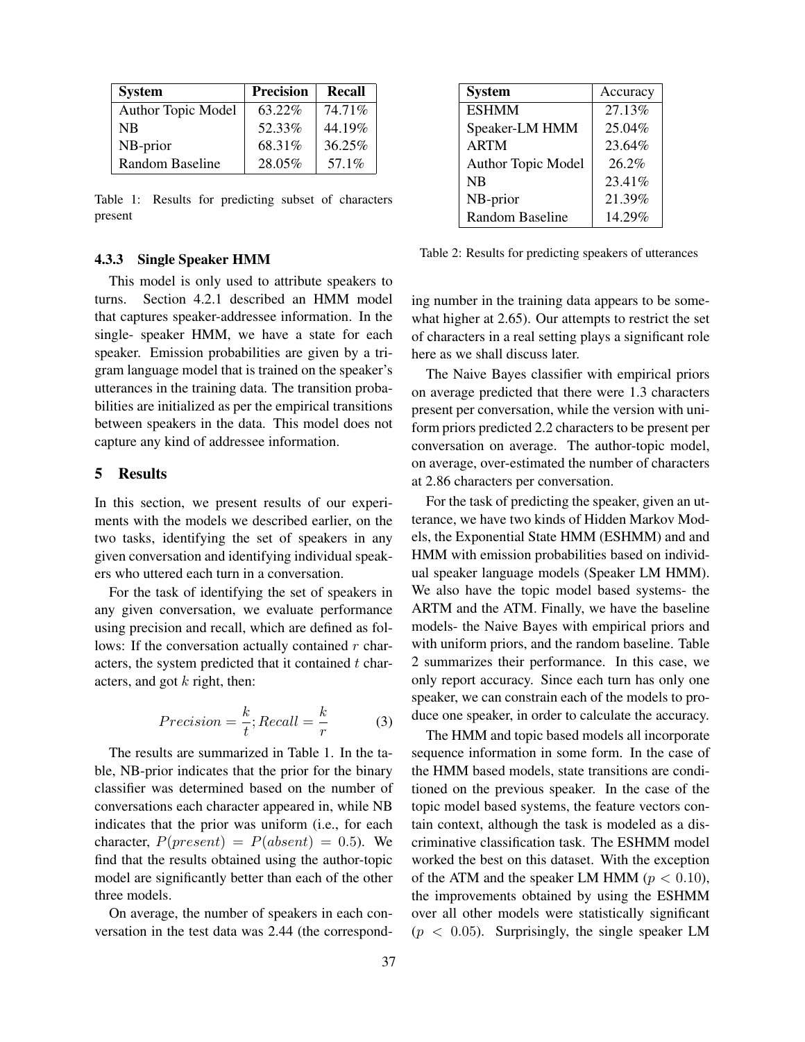| <b>System</b>      | <b>Precision</b> | <b>Recall</b> |
|--------------------|------------------|---------------|
| Author Topic Model | 63.22%           | 74.71%        |
| NB                 | 52.33%           | 44.19%        |
| NB-prior           | 68.31%           | 36.25%        |
| Random Baseline    | 28.05%           | 57.1%         |

Table 1: Results for predicting subset of characters present

#### 4.3.3 Single Speaker HMM

This model is only used to attribute speakers to turns. Section 4.2.1 described an HMM model that captures speaker-addressee information. In the single- speaker HMM, we have a state for each speaker. Emission probabilities are given by a trigram language model that is trained on the speaker's utterances in the training data. The transition probabilities are initialized as per the empirical transitions between speakers in the data. This model does not capture any kind of addressee information.

## 5 Results

In this section, we present results of our experiments with the models we described earlier, on the two tasks, identifying the set of speakers in any given conversation and identifying individual speakers who uttered each turn in a conversation.

For the task of identifying the set of speakers in any given conversation, we evaluate performance using precision and recall, which are defined as follows: If the conversation actually contained  $r$  characters, the system predicted that it contained  $t$  characters, and got  $k$  right, then:

$$
Precision = \frac{k}{t}; Recall = \frac{k}{r}
$$
 (3)

The results are summarized in Table 1. In the table, NB-prior indicates that the prior for the binary classifier was determined based on the number of conversations each character appeared in, while NB indicates that the prior was uniform (i.e., for each character,  $P(present) = P(absent) = 0.5$ ). We find that the results obtained using the author-topic model are significantly better than each of the other three models.

On average, the number of speakers in each conversation in the test data was 2.44 (the correspond-

| <b>System</b>      | Accuracy |
|--------------------|----------|
| <b>ESHMM</b>       | 27.13%   |
| Speaker-LM HMM     | 25.04%   |
| <b>ARTM</b>        | 23.64%   |
| Author Topic Model | $26.2\%$ |
| NB                 | 23.41%   |
| NB-prior           | 21.39%   |
| Random Baseline    | 14.29%   |

Table 2: Results for predicting speakers of utterances

ing number in the training data appears to be somewhat higher at 2.65). Our attempts to restrict the set of characters in a real setting plays a significant role here as we shall discuss later.

The Naive Bayes classifier with empirical priors on average predicted that there were 1.3 characters present per conversation, while the version with uniform priors predicted 2.2 characters to be present per conversation on average. The author-topic model, on average, over-estimated the number of characters at 2.86 characters per conversation.

For the task of predicting the speaker, given an utterance, we have two kinds of Hidden Markov Models, the Exponential State HMM (ESHMM) and and HMM with emission probabilities based on individual speaker language models (Speaker LM HMM). We also have the topic model based systems- the ARTM and the ATM. Finally, we have the baseline models- the Naive Bayes with empirical priors and with uniform priors, and the random baseline. Table 2 summarizes their performance. In this case, we only report accuracy. Since each turn has only one speaker, we can constrain each of the models to produce one speaker, in order to calculate the accuracy.

The HMM and topic based models all incorporate sequence information in some form. In the case of the HMM based models, state transitions are conditioned on the previous speaker. In the case of the topic model based systems, the feature vectors contain context, although the task is modeled as a discriminative classification task. The ESHMM model worked the best on this dataset. With the exception of the ATM and the speaker LM HMM ( $p < 0.10$ ), the improvements obtained by using the ESHMM over all other models were statistically significant  $(p < 0.05)$ . Surprisingly, the single speaker LM